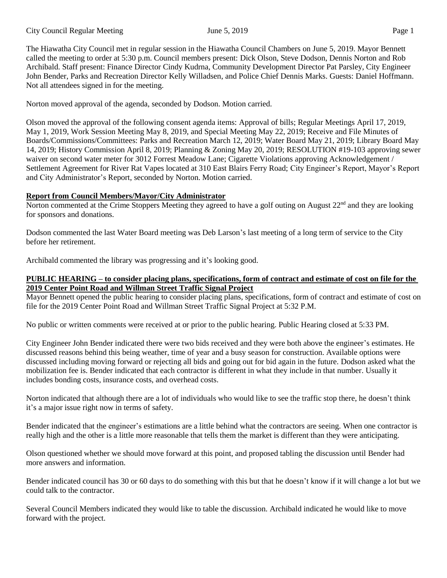The Hiawatha City Council met in regular session in the Hiawatha Council Chambers on June 5, 2019. Mayor Bennett called the meeting to order at 5:30 p.m. Council members present: Dick Olson, Steve Dodson, Dennis Norton and Rob Archibald. Staff present: Finance Director Cindy Kudrna, Community Development Director Pat Parsley, City Engineer John Bender, Parks and Recreation Director Kelly Willadsen, and Police Chief Dennis Marks. Guests: Daniel Hoffmann. Not all attendees signed in for the meeting.

Norton moved approval of the agenda, seconded by Dodson. Motion carried.

Olson moved the approval of the following consent agenda items: Approval of bills; Regular Meetings April 17, 2019, May 1, 2019, Work Session Meeting May 8, 2019, and Special Meeting May 22, 2019; Receive and File Minutes of Boards/Commissions/Committees: Parks and Recreation March 12, 2019; Water Board May 21, 2019; Library Board May 14, 2019; History Commission April 8, 2019; Planning & Zoning May 20, 2019; RESOLUTION #19-103 approving sewer waiver on second water meter for 3012 Forrest Meadow Lane; Cigarette Violations approving Acknowledgement / Settlement Agreement for River Rat Vapes located at 310 East Blairs Ferry Road; City Engineer's Report, Mayor's Report and City Administrator's Report, seconded by Norton. Motion carried.

# **Report from Council Members/Mayor/City Administrator**

Norton commented at the Crime Stoppers Meeting they agreed to have a golf outing on August  $22^{nd}$  and they are looking for sponsors and donations.

Dodson commented the last Water Board meeting was Deb Larson's last meeting of a long term of service to the City before her retirement.

Archibald commented the library was progressing and it's looking good.

## **PUBLIC HEARING – to consider placing plans, specifications, form of contract and estimate of cost on file for the 2019 Center Point Road and Willman Street Traffic Signal Project**

Mayor Bennett opened the public hearing to consider placing plans, specifications, form of contract and estimate of cost on file for the 2019 Center Point Road and Willman Street Traffic Signal Project at 5:32 P.M.

No public or written comments were received at or prior to the public hearing. Public Hearing closed at 5:33 PM.

City Engineer John Bender indicated there were two bids received and they were both above the engineer's estimates. He discussed reasons behind this being weather, time of year and a busy season for construction. Available options were discussed including moving forward or rejecting all bids and going out for bid again in the future. Dodson asked what the mobilization fee is. Bender indicated that each contractor is different in what they include in that number. Usually it includes bonding costs, insurance costs, and overhead costs.

Norton indicated that although there are a lot of individuals who would like to see the traffic stop there, he doesn't think it's a major issue right now in terms of safety.

Bender indicated that the engineer's estimations are a little behind what the contractors are seeing. When one contractor is really high and the other is a little more reasonable that tells them the market is different than they were anticipating.

Olson questioned whether we should move forward at this point, and proposed tabling the discussion until Bender had more answers and information.

Bender indicated council has 30 or 60 days to do something with this but that he doesn't know if it will change a lot but we could talk to the contractor.

Several Council Members indicated they would like to table the discussion. Archibald indicated he would like to move forward with the project.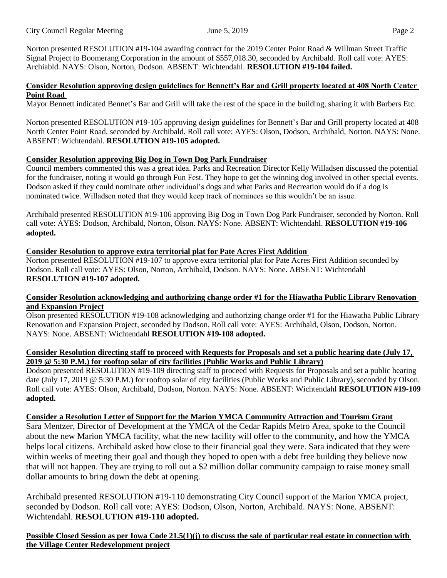Norton presented RESOLUTION #19-104 awarding contract for the 2019 Center Point Road & Willman Street Traffic Signal Project to Boomerang Corporation in the amount of \$557,018.30, seconded by Archibald. Roll call vote: AYES: Archiabld. NAYS: Olson, Norton, Dodson. ABSENT: Wichtendahl. **RESOLUTION #19-104 failed.**

#### **Consider Resolution approving design guidelines for Bennett's Bar and Grill property located at 408 North Center Point Road**

Mayor Bennett indicated Bennet's Bar and Grill will take the rest of the space in the building, sharing it with Barbers Etc.

Norton presented RESOLUTION #19-105 approving design guidelines for Bennett's Bar and Grill property located at 408 North Center Point Road, seconded by Archibald. Roll call vote: AYES: Olson, Dodson, Archibald, Norton. NAYS: None. ABSENT: Wichtendahl. **RESOLUTION #19-105 adopted.**

## **Consider Resolution approving Big Dog in Town Dog Park Fundraiser**

Council members commented this was a great idea. Parks and Recreation Director Kelly Willadsen discussed the potential for the fundraiser, noting it would go through Fun Fest. They hope to get the winning dog involved in other special events. Dodson asked if they could nominate other individual's dogs and what Parks and Recreation would do if a dog is nominated twice. Willadsen noted that they would keep track of nominees so this wouldn't be an issue.

Archibald presented RESOLUTION #19-106 approving Big Dog in Town Dog Park Fundraiser, seconded by Norton. Roll call vote: AYES: Dodson, Archibald, Norton, Olson. NAYS: None. ABSENT: Wichtendahl. **RESOLUTION #19-106 adopted.**

## **Consider Resolution to approve extra territorial plat for Pate Acres First Addition**

Norton presented RESOLUTION #19-107 to approve extra territorial plat for Pate Acres First Addition seconded by Dodson. Roll call vote: AYES: Olson, Norton, Archibald, Dodson. NAYS: None. ABSENT: Wichtendahl **RESOLUTION #19-107 adopted.**

#### **Consider Resolution acknowledging and authorizing change order #1 for the Hiawatha Public Library Renovation and Expansion Project**

Olson presented RESOLUTION #19-108 acknowledging and authorizing change order #1 for the Hiawatha Public Library Renovation and Expansion Project, seconded by Dodson. Roll call vote: AYES: Archibald, Olson, Dodson, Norton. NAYS: None. ABSENT: Wichtendahl **RESOLUTION #19-108 adopted.**

#### Consider Resolution directing staff to proceed with Requests for Proposals and set a public hearing date (July 17, **2019 @ 5:30 P.M.) for rooftop solar of city facilities (Public Works and Public Library)**

Dodson presented RESOLUTION #19-109 directing staff to proceed with Requests for Proposals and set a public hearing date (July 17, 2019 @ 5:30 P.M.) for rooftop solar of city facilities (Public Works and Public Library), seconded by Olson. Roll call vote: AYES: Olson, Archibald, Dodson, Norton. NAYS: None. ABSENT: Wichtendahl **RESOLUTION #19-109 adopted.**

#### **Consider a Resolution Letter of Support for the Marion YMCA Community Attraction and Tourism Grant**

Sara Mentzer, Director of Development at the YMCA of the Cedar Rapids Metro Area, spoke to the Council about the new Marion YMCA facility, what the new facility will offer to the community, and how the YMCA helps local citizens. Archibald asked how close to their financial goal they were. Sara indicated that they were within weeks of meeting their goal and though they hoped to open with a debt free building they believe now that will not happen. They are trying to roll out a \$2 million dollar community campaign to raise money small dollar amounts to bring down the debt at opening.

Archibald presented RESOLUTION #19-110 demonstrating City Council support of the Marion YMCA project, seconded by Dodson. Roll call vote: AYES: Dodson, Olson, Norton, Archibald. NAYS: None. ABSENT: Wichtendahl. **RESOLUTION #19-110 adopted.**

Possible Closed Session as per Iowa Code  $21.5(1)(j)$  to discuss the sale of particular real estate in connection with **the Village Center Redevelopment project**